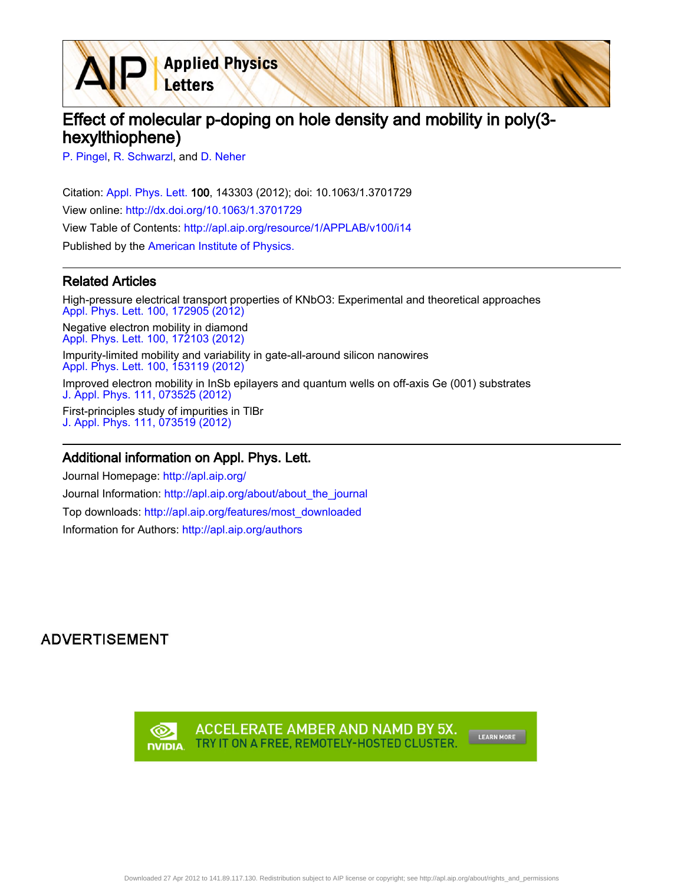Effect of molecular p-doping on hole density and mobility in poly(3 hexylthiophene)

[P. Pingel,](http://apl.aip.org/search?sortby=newestdate&q=&searchzone=2&searchtype=searchin&faceted=faceted&key=AIP_ALL&possible1=P. Pingel&possible1zone=author&alias=&displayid=AIP&ver=pdfcov) [R. Schwarzl,](http://apl.aip.org/search?sortby=newestdate&q=&searchzone=2&searchtype=searchin&faceted=faceted&key=AIP_ALL&possible1=R. Schwarzl&possible1zone=author&alias=&displayid=AIP&ver=pdfcov) and [D. Neher](http://apl.aip.org/search?sortby=newestdate&q=&searchzone=2&searchtype=searchin&faceted=faceted&key=AIP_ALL&possible1=D. Neher&possible1zone=author&alias=&displayid=AIP&ver=pdfcov)

Citation: [Appl. Phys. Lett. 1](http://apl.aip.org/?ver=pdfcov)00, 143303 (2012); doi: 10.1063/1.3701729 View online: [http://dx.doi.org/10.1063/1.3701729](http://link.aip.org/link/doi/10.1063/1.3701729?ver=pdfcov) View Table of Contents: [http://apl.aip.org/resource/1/APPLAB/v100/i14](http://apl.aip.org/resource/1/APPLAB/v100/i14?ver=pdfcov) Published by the [American Institute of Physics.](http://www.aip.org/?ver=pdfcov)

**Applied Physics** 

Letters

## Related Articles

High-pressure electrical transport properties of KNbO3: Experimental and theoretical approaches [Appl. Phys. Lett. 100, 172905 \(2012\)](http://link.aip.org/link/doi/10.1063/1.4706255?ver=pdfcov) Negative electron mobility in diamond [Appl. Phys. Lett. 100, 172103 \(2012\)](http://link.aip.org/link/doi/10.1063/1.4705434?ver=pdfcov) Impurity-limited mobility and variability in gate-all-around silicon nanowires [Appl. Phys. Lett. 100, 153119 \(2012\)](http://link.aip.org/link/doi/10.1063/1.4704174?ver=pdfcov) Improved electron mobility in InSb epilayers and quantum wells on off-axis Ge (001) substrates [J. Appl. Phys. 111, 073525 \(2012\)](http://link.aip.org/link/doi/10.1063/1.3702820?ver=pdfcov) First-principles study of impurities in TlBr [J. Appl. Phys. 111, 073519 \(2012\)](http://link.aip.org/link/doi/10.1063/1.3702574?ver=pdfcov)

## Additional information on Appl. Phys. Lett.

Journal Homepage: [http://apl.aip.org/](http://apl.aip.org/?ver=pdfcov) Journal Information: [http://apl.aip.org/about/about\\_the\\_journal](http://apl.aip.org/about/about_the_journal?ver=pdfcov) Top downloads: [http://apl.aip.org/features/most\\_downloaded](http://apl.aip.org/features/most_downloaded?ver=pdfcov) Information for Authors: [http://apl.aip.org/authors](http://apl.aip.org/authors?ver=pdfcov)

## **ADVERTISEMENT**

ACCELERATE AMBER AND NAMD BY 5X. ∞ TRY IT ON A FREE, REMOTELY-HOSTED CLUSTER. **DVIDIA** 

LEARN MORE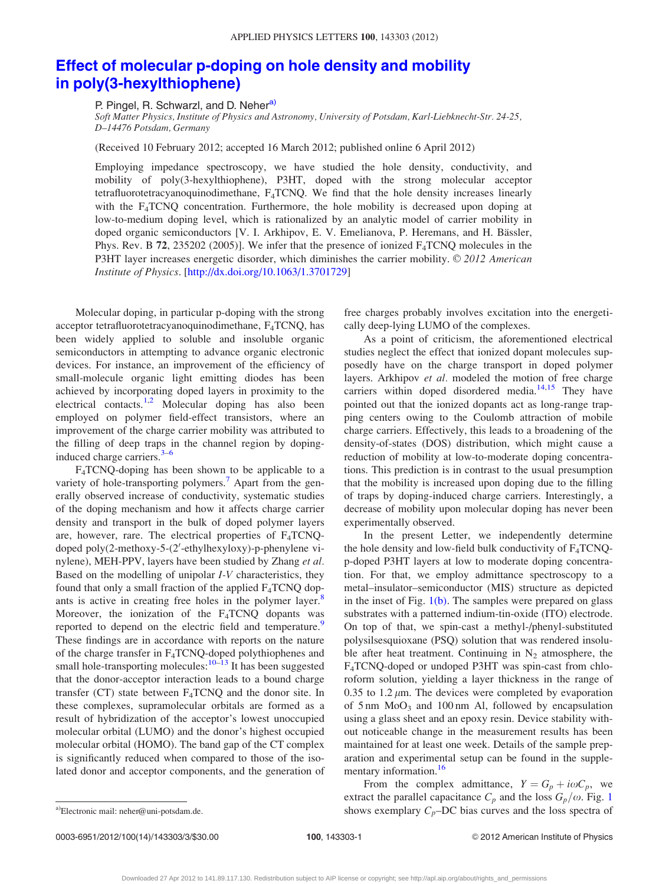## [Effect of molecular p-doping on hole density and mobility](http://dx.doi.org/10.1063/1.3701729) [in poly\(3-hexylthiophene\)](http://dx.doi.org/10.1063/1.3701729)

P. Pingel, R. Schwarzl, and D. Neher<sup>a)</sup>

Soft Matter Physics, Institute of Physics and Astronomy, University of Potsdam, Karl-Liebknecht-Str. 24-25, D–14476 Potsdam, Germany

(Received 10 February 2012; accepted 16 March 2012; published online 6 April 2012)

Employing impedance spectroscopy, we have studied the hole density, conductivity, and mobility of poly(3-hexylthiophene), P3HT, doped with the strong molecular acceptor tetrafluorotetracyanoquinodimethane, F<sub>4</sub>TCNQ. We find that the hole density increases linearly with the  $F_4TCNQ$  concentration. Furthermore, the hole mobility is decreased upon doping at low-to-medium doping level, which is rationalized by an analytic model of carrier mobility in doped organic semiconductors [V. I. Arkhipov, E. V. Emelianova, P. Heremans, and H. Bässler, Phys. Rev. B  $72$ ,  $235202$  (2005)]. We infer that the presence of ionized  $F_4TCNQ$  molecules in the P3HT layer increases energetic disorder, which diminishes the carrier mobility.  $\odot$  2012 American Institute of Physics. [[http://dx.doi.org/10.1063/1.3701729\]](http://dx.doi.org/10.1063/1.3701729)

Molecular doping, in particular p-doping with the strong acceptor tetrafluorotetracyanoquinodimethane, F4TCNQ, has been widely applied to soluble and insoluble organic semiconductors in attempting to advance organic electronic devices. For instance, an improvement of the efficiency of small-molecule organic light emitting diodes has been achieved by incorporating doped layers in proximity to the electrical contacts.<sup>[1,2](#page-3-0)</sup> Molecular doping has also been employed on polymer field-effect transistors, where an improvement of the charge carrier mobility was attributed to the filling of deep traps in the channel region by dopinginduced charge carriers. $3-6$ 

F4TCNQ-doping has been shown to be applicable to a variety of hole-transporting polymers.<sup>[7](#page-3-0)</sup> Apart from the generally observed increase of conductivity, systematic studies of the doping mechanism and how it affects charge carrier density and transport in the bulk of doped polymer layers are, however, rare. The electrical properties of  $F_4TCNQ$ doped poly(2-methoxy-5-(2'-ethylhexyloxy)-p-phenylene vinylene), MEH-PPV, layers have been studied by Zhang et al. Based on the modelling of unipolar I-V characteristics, they found that only a small fraction of the applied  $F_4TCNQ$  dopants is active in creating free holes in the polymer layer. $\delta$ Moreover, the ionization of the  $F_4TCNQ$  dopants was reported to depend on the electric field and temperature.<sup>9</sup> These findings are in accordance with reports on the nature of the charge transfer in F4TCNQ-doped polythiophenes and small hole-transporting molecules: $10^{-13}$  It has been suggested that the donor-acceptor interaction leads to a bound charge transfer (CT) state between F4TCNQ and the donor site. In these complexes, supramolecular orbitals are formed as a result of hybridization of the acceptor's lowest unoccupied molecular orbital (LUMO) and the donor's highest occupied molecular orbital (HOMO). The band gap of the CT complex is significantly reduced when compared to those of the isolated donor and acceptor components, and the generation of free charges probably involves excitation into the energetically deep-lying LUMO of the complexes.

As a point of criticism, the aforementioned electrical studies neglect the effect that ionized dopant molecules supposedly have on the charge transport in doped polymer layers. Arkhipov et al. modeled the motion of free charge carriers within doped disordered media.<sup>[14,15](#page-3-0)</sup> They have pointed out that the ionized dopants act as long-range trapping centers owing to the Coulomb attraction of mobile charge carriers. Effectively, this leads to a broadening of the density-of-states (DOS) distribution, which might cause a reduction of mobility at low-to-moderate doping concentrations. This prediction is in contrast to the usual presumption that the mobility is increased upon doping due to the filling of traps by doping-induced charge carriers. Interestingly, a decrease of mobility upon molecular doping has never been experimentally observed.

In the present Letter, we independently determine the hole density and low-field bulk conductivity of  $F_4TCNO$ p-doped P3HT layers at low to moderate doping concentration. For that, we employ admittance spectroscopy to a metal–insulator–semiconductor (MIS) structure as depicted in the inset of Fig.  $1(b)$ . The samples were prepared on glass substrates with a patterned indium-tin-oxide (ITO) electrode. On top of that, we spin-cast a methyl-/phenyl-substituted polysilsesquioxane (PSQ) solution that was rendered insoluble after heat treatment. Continuing in  $N_2$  atmosphere, the F4TCNQ-doped or undoped P3HT was spin-cast from chloroform solution, yielding a layer thickness in the range of 0.35 to 1.2  $\mu$ m. The devices were completed by evaporation of  $5 \text{ nm } \text{MoO}_3$  and  $100 \text{ nm }$  Al, followed by encapsulation using a glass sheet and an epoxy resin. Device stability without noticeable change in the measurement results has been maintained for at least one week. Details of the sample preparation and experimental setup can be found in the supple-mentary information.<sup>[16](#page-3-0)</sup>

From the complex admittance,  $Y = G_p + i\omega C_p$ , we extract the parallel capacitance  $C_p$  and the loss  $G_p/\omega$ . Fig. [1](#page-2-0) a)Electronic mail: neher@uni-potsdam.de. <br>
Shows exemplary  $C_p$ –DC bias curves and the loss spectra of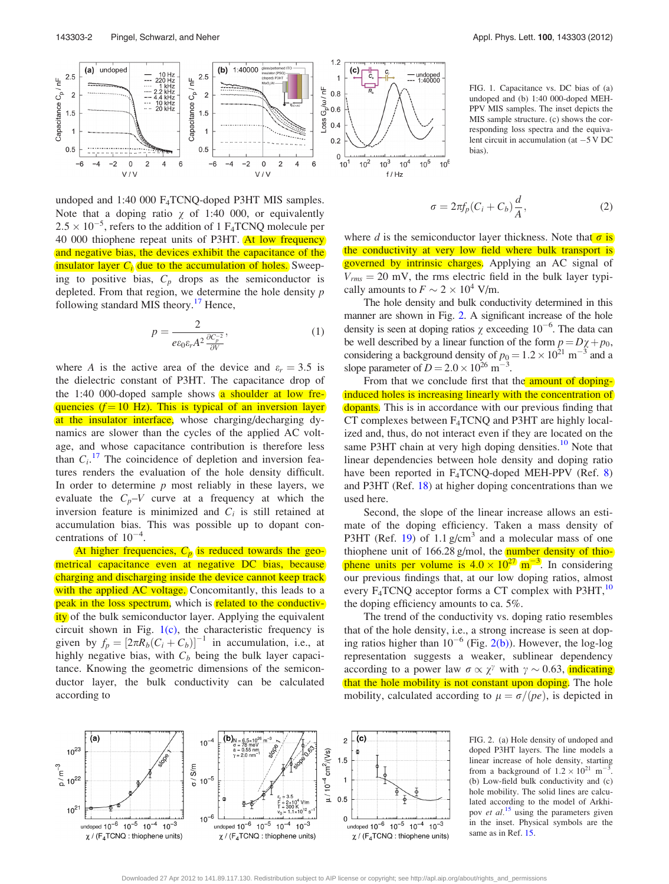<span id="page-2-0"></span>

undoped and 1:40 000 F4TCNQ-doped P3HT MIS samples. Note that a doping ratio  $\chi$  of 1:40 000, or equivalently  $2.5 \times 10^{-5}$ , refers to the addition of 1 F<sub>4</sub>TCNQ molecule per 40 000 thiophene repeat units of P3HT. At low frequency and negative bias, the devices exhibit the capacitance of the insulator layer  $C_i$  due to the accumulation of holes. Sweeping to positive bias,  $C_p$  drops as the semiconductor is depleted. From that region, we determine the hole density  $p$ following standard MIS theory.<sup>[17](#page-3-0)</sup> Hence,

$$
p = \frac{2}{e\epsilon_0 \varepsilon_r A^2 \frac{\partial C_p^{-2}}{\partial V}},\tag{1}
$$

where A is the active area of the device and  $\varepsilon_r = 3.5$  is the dielectric constant of P3HT. The capacitance drop of the 1:40 000-doped sample shows  $\alpha$  shoulder at low frequencies ( $f = 10$  Hz). This is typical of an inversion layer at the insulator interface, whose charging/decharging dynamics are slower than the cycles of the applied AC voltage, and whose capacitance contribution is therefore less than  $C_i$ .<sup>[17](#page-3-0)</sup> The coincidence of depletion and inversion features renders the evaluation of the hole density difficult. In order to determine  $p$  most reliably in these layers, we evaluate the  $C_p - V$  curve at a frequency at which the inversion feature is minimized and  $C_i$  is still retained at accumulation bias. This was possible up to dopant concentrations of  $10^{-4}$ .

At higher frequencies,  $C_p$  is reduced towards the geometrical capacitance even at negative DC bias, because charging and discharging inside the device cannot keep track with the applied AC voltage. Concomitantly, this leads to a peak in the loss spectrum, which is related to the conductivity of the bulk semiconductor layer. Applying the equivalent circuit shown in Fig.  $1(c)$ , the characteristic frequency is given by  $f_p = [2\pi R_b(C_i + C_b)]^{-1}$  in accumulation, i.e., at highly negative bias, with  $C_b$  being the bulk layer capacitance. Knowing the geometric dimensions of the semiconductor layer, the bulk conductivity can be calculated according to

FIG. 1. Capacitance vs. DC bias of (a) undoped and (b) 1:40 000-doped MEH-PPV MIS samples. The inset depicts the MIS sample structure. (c) shows the corresponding loss spectra and the equivalent circuit in accumulation (at  $-5$  V DC bias).

$$
\sigma = 2\pi f_p (C_i + C_b) \frac{d}{A},\qquad(2)
$$

where d is the semiconductor layer thickness. Note that  $\sigma$  is the conductivity at very low field where bulk transport is governed by intrinsic charges. Applying an AC signal of  $V_{rms} = 20$  mV, the rms electric field in the bulk layer typically amounts to  $F \sim 2 \times 10^4$  V/m.

The hole density and bulk conductivity determined in this manner are shown in Fig. 2. A significant increase of the hole density is seen at doping ratios  $\chi$  exceeding 10<sup>-6</sup>. The data can be well described by a linear function of the form  $p = D\chi + p_0$ , considering a background density of  $p_0 = 1.2 \times 10^{21}$  m<sup>-3</sup> and a slope parameter of  $D = 2.0 \times 10^{26}$  m<sup>-3</sup>.

From that we conclude first that the amount of dopinginduced holes is increasing linearly with the concentration of dopants. This is in accordance with our previous finding that CT complexes between  $F_4TCNQ$  and P3HT are highly localized and, thus, do not interact even if they are located on the same P3HT chain at very high doping densities.<sup>10</sup> Note that linear dependencies between hole density and doping ratio have been reported in  $F_4TCNQ$ -doped MEH-PPV (Ref. [8\)](#page-3-0) and P3HT (Ref. [18](#page-3-0)) at higher doping concentrations than we used here.

Second, the slope of the linear increase allows an estimate of the doping efficiency. Taken a mass density of P3HT (Ref. [19](#page-3-0)) of 1.1  $g/cm<sup>3</sup>$  and a molecular mass of one thiophene unit of  $166.28$  g/mol, the **number density of thio**phene units per volume is  $4.0 \times 10^{27}$  m<sup>-3</sup>. In considering our previous findings that, at our low doping ratios, almost every  $F_4TCNQ$  acceptor forms a CT complex with P3HT,<sup>[10](#page-3-0)</sup> the doping efficiency amounts to ca. 5%.

The trend of the conductivity vs. doping ratio resembles that of the hole density, i.e., a strong increase is seen at doping ratios higher than  $10^{-6}$  (Fig. 2(b)). However, the log-log representation suggests a weaker, sublinear dependency according to a power law  $\sigma \propto \chi^{\gamma}$  with  $\gamma \sim 0.63$ , indicating that the hole mobility is not constant upon doping. The hole mobility, calculated according to  $\mu = \sigma/(pe)$ , is depicted in



FIG. 2. (a) Hole density of undoped and doped P3HT layers. The line models a linear increase of hole density, starting from a background of  $1.2 \times 10^{21}$  m<sup>-3</sup> . (b) Low-field bulk conductivity and (c) hole mobility. The solid lines are calculated according to the model of Arkhipov et  $al$ <sup>[15](#page-3-0)</sup> using the parameters given in the inset. Physical symbols are the same as in Ref. [15](#page-3-0).